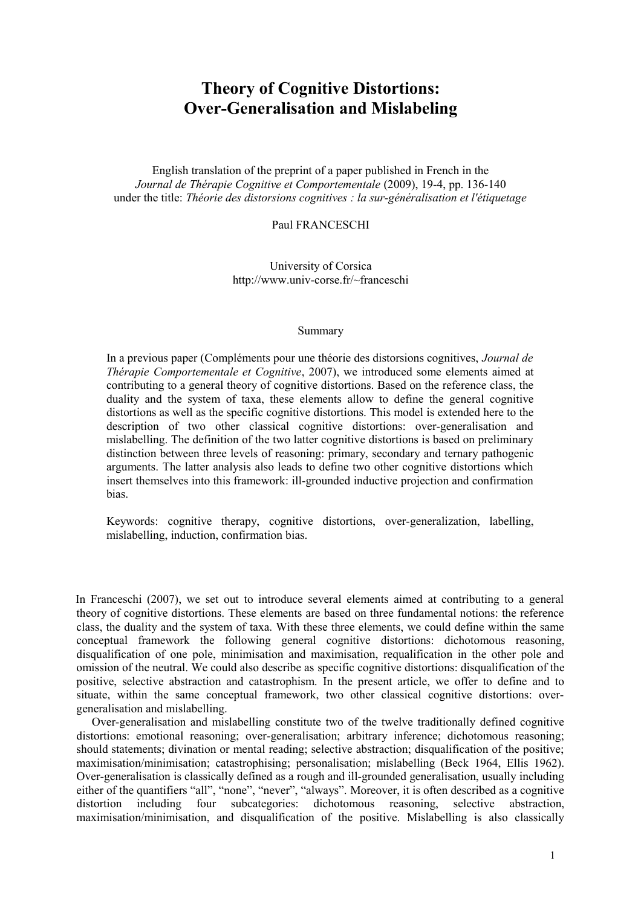# **Theory of Cognitive Distortions: Over-Generalisation and Mislabeling**

English translation of the preprint of a paper published in French in the *Journal de Thérapie Cognitive et Comportementale* (2009), 19-4, pp. 136-140 under the title: *Théorie des distorsions cognitives : la sur-généralisation et l'étiquetage*

Paul FRANCESCHI

University of Corsica http://www.univ-corse.fr/~franceschi

#### Summary

In a previous paper (Compléments pour une théorie des distorsions cognitives, *Journal de Thérapie Comportementale et Cognitive*, 2007), we introduced some elements aimed at contributing to a general theory of cognitive distortions. Based on the reference class, the duality and the system of taxa, these elements allow to define the general cognitive distortions as well as the specific cognitive distortions. This model is extended here to the description of two other classical cognitive distortions: over-generalisation and mislabelling. The definition of the two latter cognitive distortions is based on preliminary distinction between three levels of reasoning: primary, secondary and ternary pathogenic arguments. The latter analysis also leads to define two other cognitive distortions which insert themselves into this framework: ill-grounded inductive projection and confirmation bias.

Keywords: cognitive therapy, cognitive distortions, over-generalization, labelling, mislabelling, induction, confirmation bias.

In Franceschi (2007), we set out to introduce several elements aimed at contributing to a general theory of cognitive distortions. These elements are based on three fundamental notions: the reference class, the duality and the system of taxa. With these three elements, we could define within the same conceptual framework the following general cognitive distortions: dichotomous reasoning, disqualification of one pole, minimisation and maximisation, requalification in the other pole and omission of the neutral. We could also describe as specific cognitive distortions: disqualification of the positive, selective abstraction and catastrophism. In the present article, we offer to define and to situate, within the same conceptual framework, two other classical cognitive distortions: overgeneralisation and mislabelling.

Over-generalisation and mislabelling constitute two of the twelve traditionally defined cognitive distortions: emotional reasoning; over-generalisation; arbitrary inference; dichotomous reasoning; should statements; divination or mental reading; selective abstraction; disqualification of the positive; maximisation/minimisation; catastrophising; personalisation; mislabelling (Beck 1964, Ellis 1962). Over-generalisation is classically defined as a rough and ill-grounded generalisation, usually including either of the quantifiers "all", "none", "never", "always". Moreover, it is often described as a cognitive distortion including four subcategories: dichotomous reasoning, selective abstraction, maximisation/minimisation, and disqualification of the positive. Mislabelling is also classically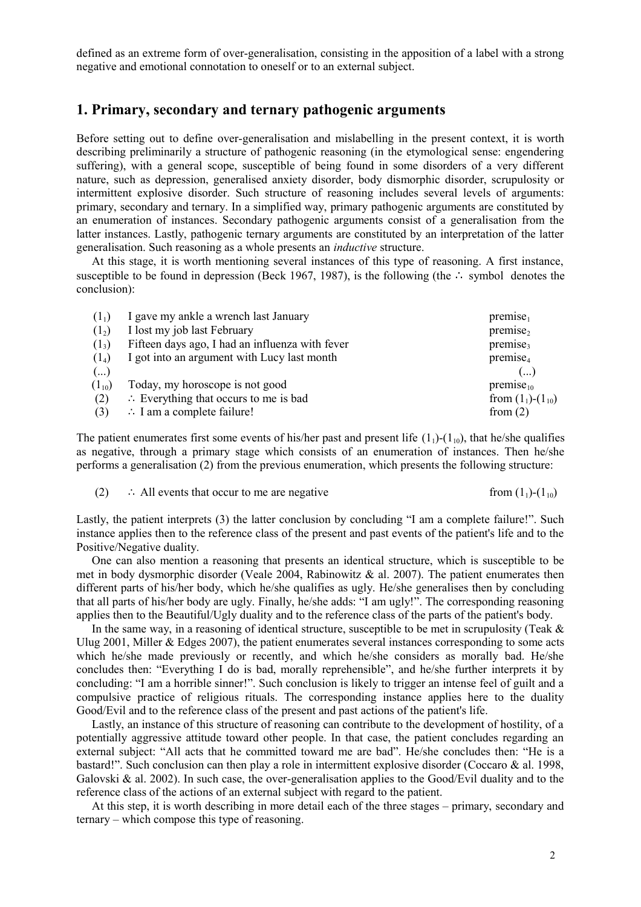defined as an extreme form of over-generalisation, consisting in the apposition of a label with a strong negative and emotional connotation to oneself or to an external subject.

### **1. Primary, secondary and ternary pathogenic arguments**

Before setting out to define over-generalisation and mislabelling in the present context, it is worth describing preliminarily a structure of pathogenic reasoning (in the etymological sense: engendering suffering), with a general scope, susceptible of being found in some disorders of a very different nature, such as depression, generalised anxiety disorder, body dismorphic disorder, scrupulosity or intermittent explosive disorder. Such structure of reasoning includes several levels of arguments: primary, secondary and ternary. In a simplified way, primary pathogenic arguments are constituted by an enumeration of instances. Secondary pathogenic arguments consist of a generalisation from the latter instances. Lastly, pathogenic ternary arguments are constituted by an interpretation of the latter generalisation. Such reasoning as a whole presents an *inductive* structure.

At this stage, it is worth mentioning several instances of this type of reasoning. A first instance, susceptible to be found in depression (Beck 1967, 1987), is the following (the ∴ symbol denotes the conclusion):

| $(1_1)$    | I gave my ankle a wrench last January            | premise <sub>1</sub>      |
|------------|--------------------------------------------------|---------------------------|
| $(1_2)$    | I lost my job last February                      | premise <sub>2</sub>      |
| $(1_3)$    | Fifteen days ago, I had an influenza with fever  | premise <sub>3</sub>      |
| $(1_4)$    | I got into an argument with Lucy last month      | premise <sub>4</sub>      |
| $(\ldots)$ |                                                  | ()                        |
| $(1_{10})$ | Today, my horoscope is not good                  | premise <sub>10</sub>     |
| (2)        | $\therefore$ Everything that occurs to me is bad | from $(1_1)$ - $(1_{10})$ |
| (3)        | $\therefore$ I am a complete failure!            | from $(2)$                |
|            |                                                  |                           |

The patient enumerates first some events of his/her past and present life  $(1_1)$ - $(1_{10})$ , that he/she qualifies as negative, through a primary stage which consists of an enumeration of instances. Then he/she performs a generalisation (2) from the previous enumeration, which presents the following structure:

(2) ∴ All events that occur to me are negative from  $(1<sub>1</sub>)(1<sub>10</sub>)$ 

Lastly, the patient interprets (3) the latter conclusion by concluding "I am a complete failure!". Such instance applies then to the reference class of the present and past events of the patient's life and to the Positive/Negative duality.

One can also mention a reasoning that presents an identical structure, which is susceptible to be met in body dysmorphic disorder (Veale 2004, Rabinowitz & al. 2007). The patient enumerates then different parts of his/her body, which he/she qualifies as ugly. He/she generalises then by concluding that all parts of his/her body are ugly. Finally, he/she adds: "I am ugly!". The corresponding reasoning applies then to the Beautiful/Ugly duality and to the reference class of the parts of the patient's body.

In the same way, in a reasoning of identical structure, susceptible to be met in scrupulosity (Teak  $\&$ Ulug 2001, Miller & Edges 2007), the patient enumerates several instances corresponding to some acts which he/she made previously or recently, and which he/she considers as morally bad. He/she concludes then: "Everything I do is bad, morally reprehensible", and he/she further interprets it by concluding: "I am a horrible sinner!". Such conclusion is likely to trigger an intense feel of guilt and a compulsive practice of religious rituals. The corresponding instance applies here to the duality Good/Evil and to the reference class of the present and past actions of the patient's life.

Lastly, an instance of this structure of reasoning can contribute to the development of hostility, of a potentially aggressive attitude toward other people. In that case, the patient concludes regarding an external subject: "All acts that he committed toward me are bad". He/she concludes then: "He is a bastard!". Such conclusion can then play a role in intermittent explosive disorder (Coccaro & al. 1998, Galovski & al. 2002). In such case, the over-generalisation applies to the Good/Evil duality and to the reference class of the actions of an external subject with regard to the patient.

At this step, it is worth describing in more detail each of the three stages – primary, secondary and ternary – which compose this type of reasoning.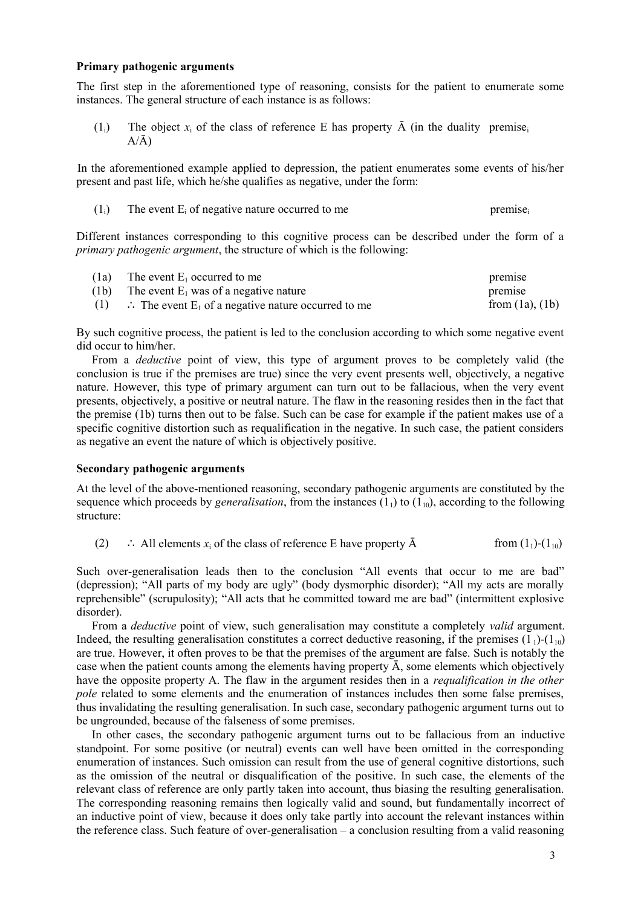### **Primary pathogenic arguments**

The first step in the aforementioned type of reasoning, consists for the patient to enumerate some instances. The general structure of each instance is as follows:

 $(1_i)$  The object  $x_i$  of the class of reference E has property  $\bar{A}$  (in the duality premise<sub>i</sub>  $A/\bar{A}$ 

In the aforementioned example applied to depression, the patient enumerates some events of his/her present and past life, which he/she qualifies as negative, under the form:

| $(1_i)$ | The event $E_i$ of negative nature occurred to me | premise. |
|---------|---------------------------------------------------|----------|
|         |                                                   |          |

Different instances corresponding to this cognitive process can be described under the form of a *primary pathogenic argument*, the structure of which is the following:

| (1a) | The event $E_1$ occurred to me                                            | premise              |
|------|---------------------------------------------------------------------------|----------------------|
| (1b) | The event $E_1$ was of a negative nature                                  | premise              |
| (1)  | $\therefore$ The event E <sub>1</sub> of a negative nature occurred to me | from $(1a)$ , $(1b)$ |

By such cognitive process, the patient is led to the conclusion according to which some negative event did occur to him/her.

From a *deductive* point of view, this type of argument proves to be completely valid (the conclusion is true if the premises are true) since the very event presents well, objectively, a negative nature. However, this type of primary argument can turn out to be fallacious, when the very event presents, objectively, a positive or neutral nature. The flaw in the reasoning resides then in the fact that the premise (1b) turns then out to be false. Such can be case for example if the patient makes use of a specific cognitive distortion such as requalification in the negative. In such case, the patient considers as negative an event the nature of which is objectively positive.

### **Secondary pathogenic arguments**

At the level of the above-mentioned reasoning, secondary pathogenic arguments are constituted by the sequence which proceeds by *generalisation*, from the instances  $(1<sub>1</sub>)$  to  $(1<sub>10</sub>)$ , according to the following structure:

(2) ∴ All elements  $x_i$  of the class of reference E have property  $\bar{A}$  from  $(1_1)$ - $(1_{10})$ 

Such over-generalisation leads then to the conclusion "All events that occur to me are bad" (depression); "All parts of my body are ugly" (body dysmorphic disorder); "All my acts are morally reprehensible" (scrupulosity); "All acts that he committed toward me are bad" (intermittent explosive disorder).

From a *deductive* point of view, such generalisation may constitute a completely *valid* argument. Indeed, the resulting generalisation constitutes a correct deductive reasoning, if the premises  $(1_1)$ - $(1_{10})$ are true. However, it often proves to be that the premises of the argument are false. Such is notably the case when the patient counts among the elements having property  $\overline{A}$ , some elements which objectively have the opposite property A. The flaw in the argument resides then in a *requalification in the other pole* related to some elements and the enumeration of instances includes then some false premises, thus invalidating the resulting generalisation. In such case, secondary pathogenic argument turns out to be ungrounded, because of the falseness of some premises.

In other cases, the secondary pathogenic argument turns out to be fallacious from an inductive standpoint. For some positive (or neutral) events can well have been omitted in the corresponding enumeration of instances. Such omission can result from the use of general cognitive distortions, such as the omission of the neutral or disqualification of the positive. In such case, the elements of the relevant class of reference are only partly taken into account, thus biasing the resulting generalisation. The corresponding reasoning remains then logically valid and sound, but fundamentally incorrect of an inductive point of view, because it does only take partly into account the relevant instances within the reference class. Such feature of over-generalisation – a conclusion resulting from a valid reasoning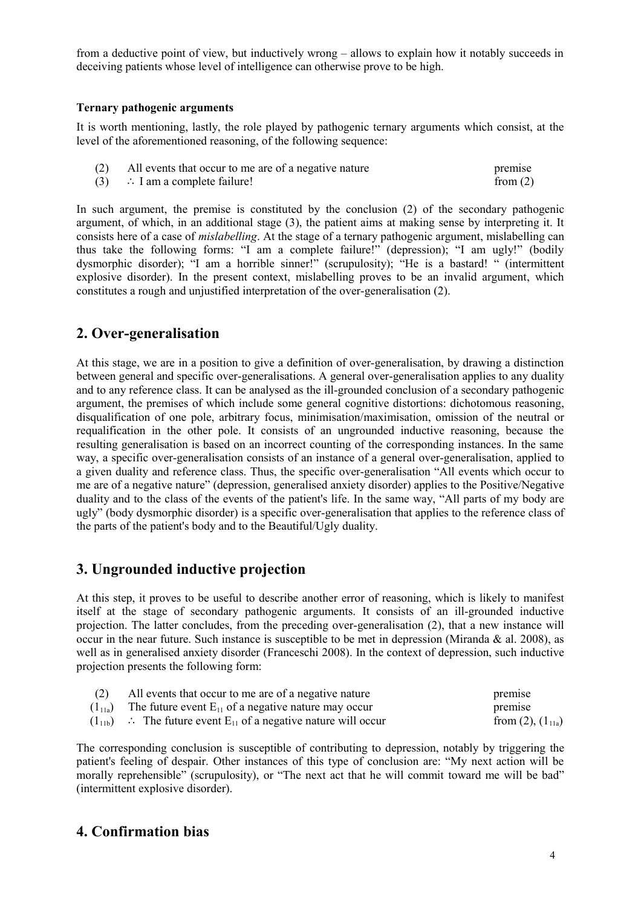from a deductive point of view, but inductively wrong – allows to explain how it notably succeeds in deceiving patients whose level of intelligence can otherwise prove to be high.

### **Ternary pathogenic arguments**

It is worth mentioning, lastly, the role played by pathogenic ternary arguments which consist, at the level of the aforementioned reasoning, of the following sequence:

| (2) | All events that occur to me are of a negative nature | premise    |
|-----|------------------------------------------------------|------------|
|     | $(3)$ : I am a complete failure!                     | from $(2)$ |

In such argument, the premise is constituted by the conclusion (2) of the secondary pathogenic argument, of which, in an additional stage (3), the patient aims at making sense by interpreting it. It consists here of a case of *mislabelling*. At the stage of a ternary pathogenic argument, mislabelling can thus take the following forms: "I am a complete failure!" (depression); "I am ugly!" (bodily dysmorphic disorder); "I am a horrible sinner!" (scrupulosity); "He is a bastard! " (intermittent explosive disorder). In the present context, mislabelling proves to be an invalid argument, which constitutes a rough and unjustified interpretation of the over-generalisation (2).

# **2. Over-generalisation**

At this stage, we are in a position to give a definition of over-generalisation, by drawing a distinction between general and specific over-generalisations. A general over-generalisation applies to any duality and to any reference class. It can be analysed as the ill-grounded conclusion of a secondary pathogenic argument, the premises of which include some general cognitive distortions: dichotomous reasoning, disqualification of one pole, arbitrary focus, minimisation/maximisation, omission of the neutral or requalification in the other pole. It consists of an ungrounded inductive reasoning, because the resulting generalisation is based on an incorrect counting of the corresponding instances. In the same way, a specific over-generalisation consists of an instance of a general over-generalisation, applied to a given duality and reference class. Thus, the specific over-generalisation "All events which occur to me are of a negative nature" (depression, generalised anxiety disorder) applies to the Positive/Negative duality and to the class of the events of the patient's life. In the same way, "All parts of my body are ugly" (body dysmorphic disorder) is a specific over-generalisation that applies to the reference class of the parts of the patient's body and to the Beautiful/Ugly duality.

# **3. Ungrounded inductive projection**

At this step, it proves to be useful to describe another error of reasoning, which is likely to manifest itself at the stage of secondary pathogenic arguments. It consists of an ill-grounded inductive projection. The latter concludes, from the preceding over-generalisation (2), that a new instance will occur in the near future. Such instance is susceptible to be met in depression (Miranda  $\&$  al. 2008), as well as in generalised anxiety disorder (Franceschi 2008). In the context of depression, such inductive projection presents the following form:

| (2) | All events that occur to me are of a negative nature                           | premise                  |
|-----|--------------------------------------------------------------------------------|--------------------------|
|     | $(1_{11a})$ The future event $E_{11}$ of a negative nature may occur           | premise                  |
|     | $(1_{11b})$ : The future event E <sub>11</sub> of a negative nature will occur | from $(2)$ , $(1_{11a})$ |

The corresponding conclusion is susceptible of contributing to depression, notably by triggering the patient's feeling of despair. Other instances of this type of conclusion are: "My next action will be morally reprehensible" (scrupulosity), or "The next act that he will commit toward me will be bad" (intermittent explosive disorder).

# **4. Confirmation bias**